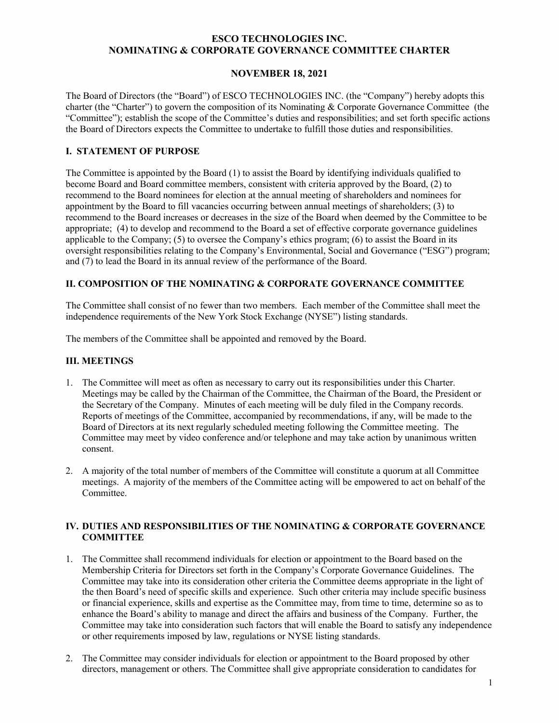#### **ESCO TECHNOLOGIES INC. NOMINATING & CORPORATE GOVERNANCE COMMITTEE CHARTER**

## **NOVEMBER 18, 2021**

The Board of Directors (the "Board") of ESCO TECHNOLOGIES INC. (the "Company") hereby adopts this charter (the "Charter") to govern the composition of its Nominating & Corporate Governance Committee (the "Committee"); establish the scope of the Committee's duties and responsibilities; and set forth specific actions the Board of Directors expects the Committee to undertake to fulfill those duties and responsibilities.

# **I. STATEMENT OF PURPOSE**

The Committee is appointed by the Board (1) to assist the Board by identifying individuals qualified to become Board and Board committee members, consistent with criteria approved by the Board, (2) to recommend to the Board nominees for election at the annual meeting of shareholders and nominees for appointment by the Board to fill vacancies occurring between annual meetings of shareholders; (3) to recommend to the Board increases or decreases in the size of the Board when deemed by the Committee to be appropriate; (4) to develop and recommend to the Board a set of effective corporate governance guidelines applicable to the Company; (5) to oversee the Company's ethics program; (6) to assist the Board in its oversight responsibilities relating to the Company's Environmental, Social and Governance ("ESG") program; and (7) to lead the Board in its annual review of the performance of the Board.

## **II. COMPOSITION OF THE NOMINATING & CORPORATE GOVERNANCE COMMITTEE**

The Committee shall consist of no fewer than two members. Each member of the Committee shall meet the independence requirements of the New York Stock Exchange (NYSE") listing standards.

The members of the Committee shall be appointed and removed by the Board.

## **III. MEETINGS**

- 1. The Committee will meet as often as necessary to carry out its responsibilities under this Charter. Meetings may be called by the Chairman of the Committee, the Chairman of the Board, the President or the Secretary of the Company. Minutes of each meeting will be duly filed in the Company records. Reports of meetings of the Committee, accompanied by recommendations, if any, will be made to the Board of Directors at its next regularly scheduled meeting following the Committee meeting. The Committee may meet by video conference and/or telephone and may take action by unanimous written consent.
- 2. A majority of the total number of members of the Committee will constitute a quorum at all Committee meetings. A majority of the members of the Committee acting will be empowered to act on behalf of the Committee.

#### **IV. DUTIES AND RESPONSIBILITIES OF THE NOMINATING & CORPORATE GOVERNANCE COMMITTEE**

- 1. The Committee shall recommend individuals for election or appointment to the Board based on the Membership Criteria for Directors set forth in the Company's Corporate Governance Guidelines. The Committee may take into its consideration other criteria the Committee deems appropriate in the light of the then Board's need of specific skills and experience. Such other criteria may include specific business or financial experience, skills and expertise as the Committee may, from time to time, determine so as to enhance the Board's ability to manage and direct the affairs and business of the Company. Further, the Committee may take into consideration such factors that will enable the Board to satisfy any independence or other requirements imposed by law, regulations or NYSE listing standards.
- 2. The Committee may consider individuals for election or appointment to the Board proposed by other directors, management or others. The Committee shall give appropriate consideration to candidates for